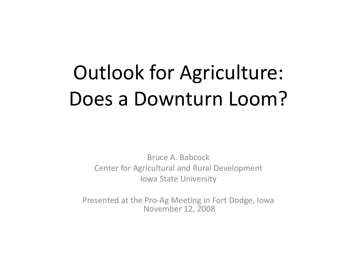# Outlook for Agriculture: Does a Downturn Loom?

Bruce A. Babcock Center for Agricultural and Rural Development Iowa State University

Presented at the Pro-Ag Meeting in Fort Dodge, Iowa November 12, 2008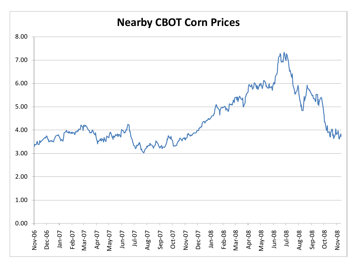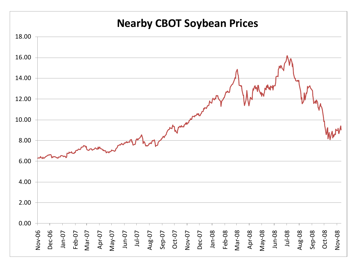#### **Nearby CBOT Soybean Prices**

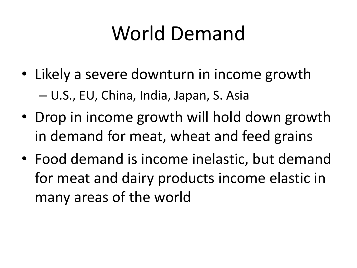#### World Demand

- Likely a severe downturn in income growth – U.S., EU, China, India, Japan, S. Asia
- Drop in income growth will hold down growth in demand for meat, wheat and feed grains
- Food demand is income inelastic, but demand for meat and dairy products income elastic in many areas of the world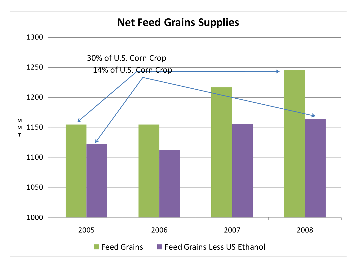#### **Net Feed Grains Supplies**

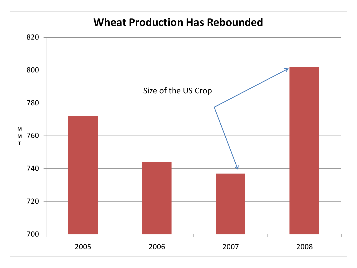#### 2006 2007 2008 **M M T Wheat Production Has Rebounded** Size of the US Crop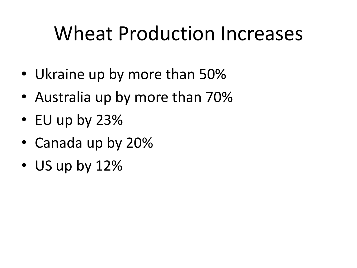#### Wheat Production Increases

- Ukraine up by more than 50%
- Australia up by more than 70%
- EU up by 23%
- Canada up by 20%
- US up by 12%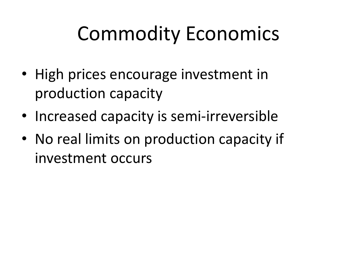#### Commodity Economics

- High prices encourage investment in production capacity
- Increased capacity is semi-irreversible
- No real limits on production capacity if investment occurs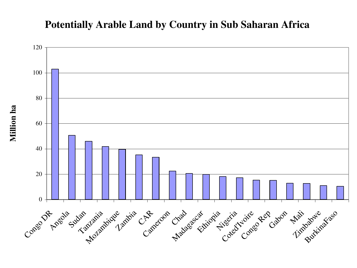#### **Potentially Arable Land by Country in Sub Saharan Africa**

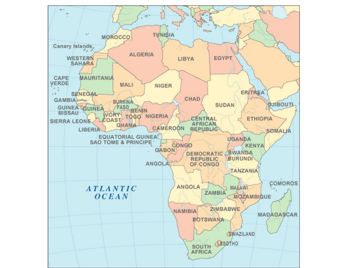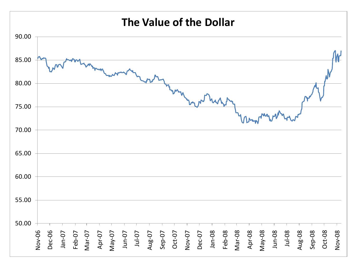#### **The Value of the Dollar**

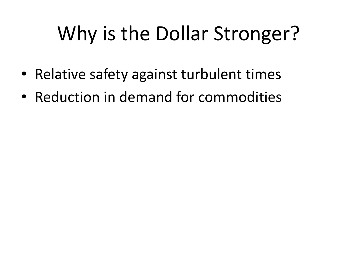# Why is the Dollar Stronger?

- Relative safety against turbulent times
- Reduction in demand for commodities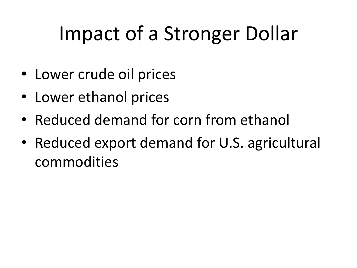# Impact of a Stronger Dollar

- Lower crude oil prices
- Lower ethanol prices
- Reduced demand for corn from ethanol
- Reduced export demand for U.S. agricultural commodities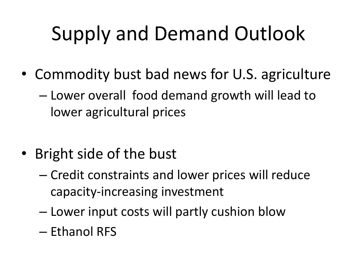# Supply and Demand Outlook

- Commodity bust bad news for U.S. agriculture
	- Lower overall food demand growth will lead to lower agricultural prices
- Bright side of the bust
	- Credit constraints and lower prices will reduce capacity-increasing investment
	- Lower input costs will partly cushion blow
	- Ethanol RFS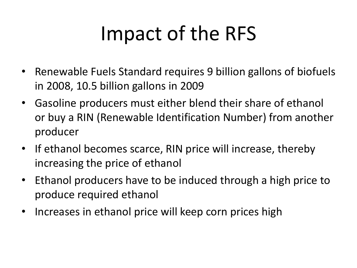### Impact of the RFS

- Renewable Fuels Standard requires 9 billion gallons of biofuels in 2008, 10.5 billion gallons in 2009
- Gasoline producers must either blend their share of ethanol or buy a RIN (Renewable Identification Number) from another producer
- If ethanol becomes scarce, RIN price will increase, thereby increasing the price of ethanol
- Ethanol producers have to be induced through a high price to produce required ethanol
- Increases in ethanol price will keep corn prices high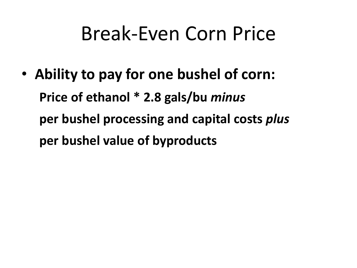#### Break-Even Corn Price

• **Ability to pay for one bushel of corn: Price of ethanol \* 2.8 gals/bu** *minus*  **per bushel processing and capital costs** *plus*  **per bushel value of byproducts**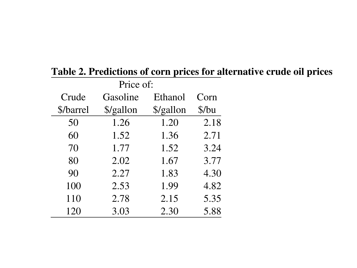| Price of: |           |           |       |
|-----------|-----------|-----------|-------|
| Crude     | Gasoline  | Ethanol   | Corn  |
| \$/barrel | \$/gallon | \$/gallon | \$/bu |
| 50        | 1.26      | 1.20      | 2.18  |
| 60        | 1.52      | 1.36      | 2.71  |
| 70        | 1.77      | 1.52      | 3.24  |
| 80        | 2.02      | 1.67      | 3.77  |
| 90        | 2.27      | 1.83      | 4.30  |
| 100       | 2.53      | 1.99      | 4.82  |
| 110       | 2.78      | 2.15      | 5.35  |
| 120       | 3.03      | 2.30      | 5.88  |

#### **Table 2. Predictions of corn prices for alternative crude oil prices**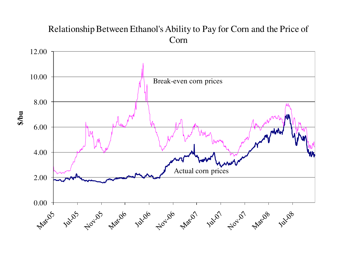#### Relationship Between Ethanol's Ability to Pay for Corn and the Price of Corn



**\$/bu**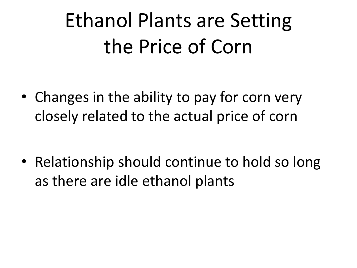# Ethanol Plants are Setting the Price of Corn

• Changes in the ability to pay for corn very closely related to the actual price of corn

• Relationship should continue to hold so long as there are idle ethanol plants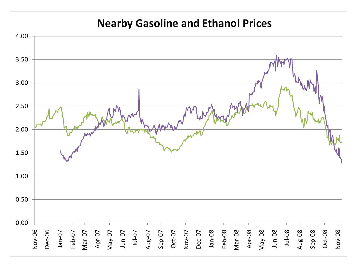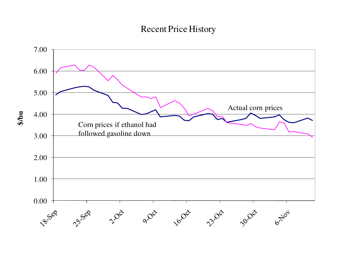#### Recent Price History

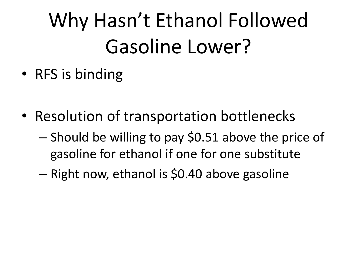# Why Hasn't Ethanol Followed Gasoline Lower?

- RFS is binding
- Resolution of transportation bottlenecks
	- Should be willing to pay \$0.51 above the price of gasoline for ethanol if one for one substitute
	- Right now, ethanol is \$0.40 above gasoline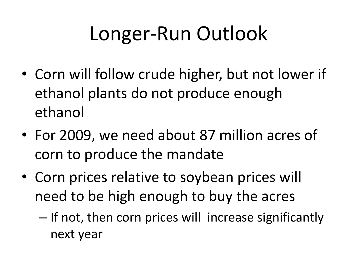### Longer-Run Outlook

- Corn will follow crude higher, but not lower if ethanol plants do not produce enough ethanol
- For 2009, we need about 87 million acres of corn to produce the mandate
- Corn prices relative to soybean prices will need to be high enough to buy the acres
	- If not, then corn prices will increase significantly next year